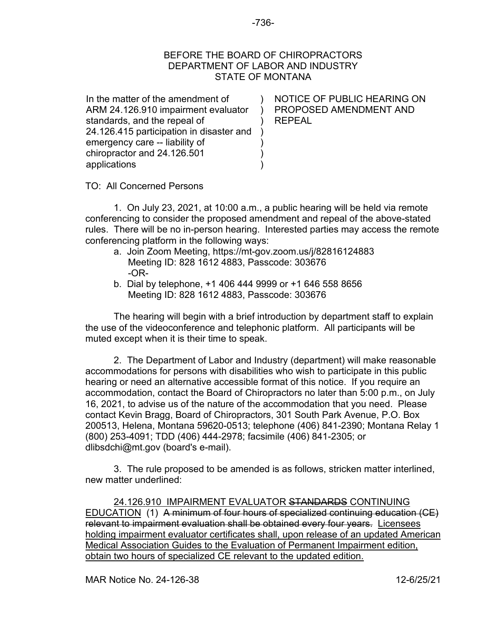## BEFORE THE BOARD OF CHIROPRACTORS DEPARTMENT OF LABOR AND INDUSTRY STATE OF MONTANA

) ) )

) ) )

In the matter of the amendment of ARM 24.126.910 impairment evaluator standards, and the repeal of 24.126.415 participation in disaster and ) emergency care -- liability of chiropractor and 24.126.501 applications

NOTICE OF PUBLIC HEARING ON PROPOSED AMENDMENT AND REPEAL

TO: All Concerned Persons

1. On July 23, 2021, at 10:00 a.m., a public hearing will be held via remote conferencing to consider the proposed amendment and repeal of the above-stated rules. There will be no in-person hearing. Interested parties may access the remote conferencing platform in the following ways:

- a. Join Zoom Meeting, https://mt-gov.zoom.us/j/82816124883 Meeting ID: 828 1612 4883, Passcode: 303676 -OR-
- b. Dial by telephone, +1 406 444 9999 or +1 646 558 8656 Meeting ID: 828 1612 4883, Passcode: 303676

The hearing will begin with a brief introduction by department staff to explain the use of the videoconference and telephonic platform. All participants will be muted except when it is their time to speak.

2. The Department of Labor and Industry (department) will make reasonable accommodations for persons with disabilities who wish to participate in this public hearing or need an alternative accessible format of this notice. If you require an accommodation, contact the Board of Chiropractors no later than 5:00 p.m., on July 16, 2021, to advise us of the nature of the accommodation that you need. Please contact Kevin Bragg, Board of Chiropractors, 301 South Park Avenue, P.O. Box 200513, Helena, Montana 59620-0513; telephone (406) 841-2390; Montana Relay 1 (800) 253-4091; TDD (406) 444-2978; facsimile (406) 841-2305; or dlibsdchi@mt.gov (board's e-mail).

3. The rule proposed to be amended is as follows, stricken matter interlined, new matter underlined:

24.126.910 IMPAIRMENT EVALUATOR STANDARDS CONTINUING EDUCATION (1) A minimum of four hours of specialized continuing education (CE) relevant to impairment evaluation shall be obtained every four years. Licensees holding impairment evaluator certificates shall, upon release of an updated American Medical Association Guides to the Evaluation of Permanent Impairment edition, obtain two hours of specialized CE relevant to the updated edition.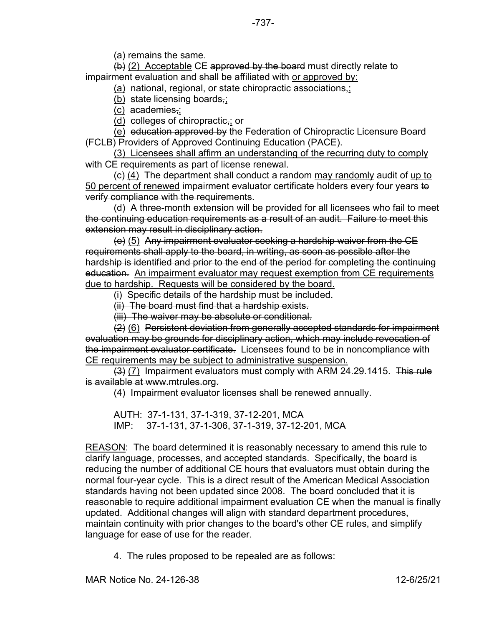(a) remains the same.

 $(b)$  (2) Acceptable CE approved by the board must directly relate to impairment evaluation and shall be affiliated with or approved by:

(a) national, regional, or state chiropractic associations,;

(b) state licensing boards,;

(c) academies,;

(d) colleges of chiropractic,; or

(e) education approved by the Federation of Chiropractic Licensure Board (FCLB) Providers of Approved Continuing Education (PACE).

(3) Licensees shall affirm an understanding of the recurring duty to comply with CE requirements as part of license renewal.

 $\left(\frac{c}{c}\right)$  (4) The department shall conduct a random may randomly audit of up to 50 percent of renewed impairment evaluator certificate holders every four years to verify compliance with the requirements.

(d) A three-month extension will be provided for all licensees who fail to meet the continuing education requirements as a result of an audit. Failure to meet this extension may result in disciplinary action.

(e) (5) Any impairment evaluator seeking a hardship waiver from the CE requirements shall apply to the board, in writing, as soon as possible after the hardship is identified and prior to the end of the period for completing the continuing education. An impairment evaluator may request exemption from CE requirements due to hardship. Requests will be considered by the board.

(i) Specific details of the hardship must be included.

(ii) The board must find that a hardship exists.

(iii) The waiver may be absolute or conditional.

(2) (6) Persistent deviation from generally accepted standards for impairment evaluation may be grounds for disciplinary action, which may include revocation of the impairment evaluator certificate. Licensees found to be in noncompliance with CE requirements may be subject to administrative suspension.

 $(3)$  (7) Impairment evaluators must comply with ARM 24.29.1415. This rule is available at www.mtrules.org.

(4) Impairment evaluator licenses shall be renewed annually.

AUTH: 37-1-131, 37-1-319, 37-12-201, MCA IMP: 37-1-131, 37-1-306, 37-1-319, 37-12-201, MCA

REASON: The board determined it is reasonably necessary to amend this rule to clarify language, processes, and accepted standards. Specifically, the board is reducing the number of additional CE hours that evaluators must obtain during the normal four-year cycle. This is a direct result of the American Medical Association standards having not been updated since 2008. The board concluded that it is reasonable to require additional impairment evaluation CE when the manual is finally updated. Additional changes will align with standard department procedures, maintain continuity with prior changes to the board's other CE rules, and simplify language for ease of use for the reader.

4. The rules proposed to be repealed are as follows: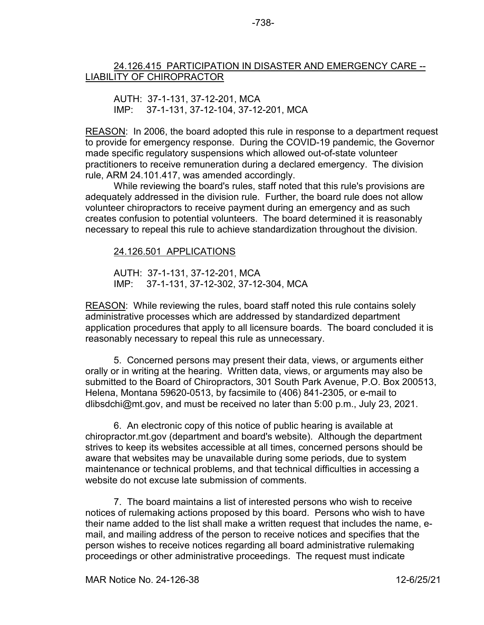## 24.126.415 PARTICIPATION IN DISASTER AND EMERGENCY CARE -- LIABILITY OF CHIROPRACTOR

AUTH: 37-1-131, 37-12-201, MCA IMP: 37-1-131, 37-12-104, 37-12-201, MCA

REASON: In 2006, the board adopted this rule in response to a department request to provide for emergency response. During the COVID-19 pandemic, the Governor made specific regulatory suspensions which allowed out-of-state volunteer practitioners to receive remuneration during a declared emergency. The division rule, ARM 24.101.417, was amended accordingly.

While reviewing the board's rules, staff noted that this rule's provisions are adequately addressed in the division rule. Further, the board rule does not allow volunteer chiropractors to receive payment during an emergency and as such creates confusion to potential volunteers. The board determined it is reasonably necessary to repeal this rule to achieve standardization throughout the division.

## 24.126.501 APPLICATIONS

AUTH: 37-1-131, 37-12-201, MCA IMP: 37-1-131, 37-12-302, 37-12-304, MCA

REASON: While reviewing the rules, board staff noted this rule contains solely administrative processes which are addressed by standardized department application procedures that apply to all licensure boards. The board concluded it is reasonably necessary to repeal this rule as unnecessary.

5. Concerned persons may present their data, views, or arguments either orally or in writing at the hearing. Written data, views, or arguments may also be submitted to the Board of Chiropractors, 301 South Park Avenue, P.O. Box 200513, Helena, Montana 59620-0513, by facsimile to (406) 841-2305, or e-mail to dlibsdchi@mt.gov, and must be received no later than 5:00 p.m., July 23, 2021.

6. An electronic copy of this notice of public hearing is available at chiropractor.mt.gov (department and board's website). Although the department strives to keep its websites accessible at all times, concerned persons should be aware that websites may be unavailable during some periods, due to system maintenance or technical problems, and that technical difficulties in accessing a website do not excuse late submission of comments.

7. The board maintains a list of interested persons who wish to receive notices of rulemaking actions proposed by this board. Persons who wish to have their name added to the list shall make a written request that includes the name, email, and mailing address of the person to receive notices and specifies that the person wishes to receive notices regarding all board administrative rulemaking proceedings or other administrative proceedings. The request must indicate